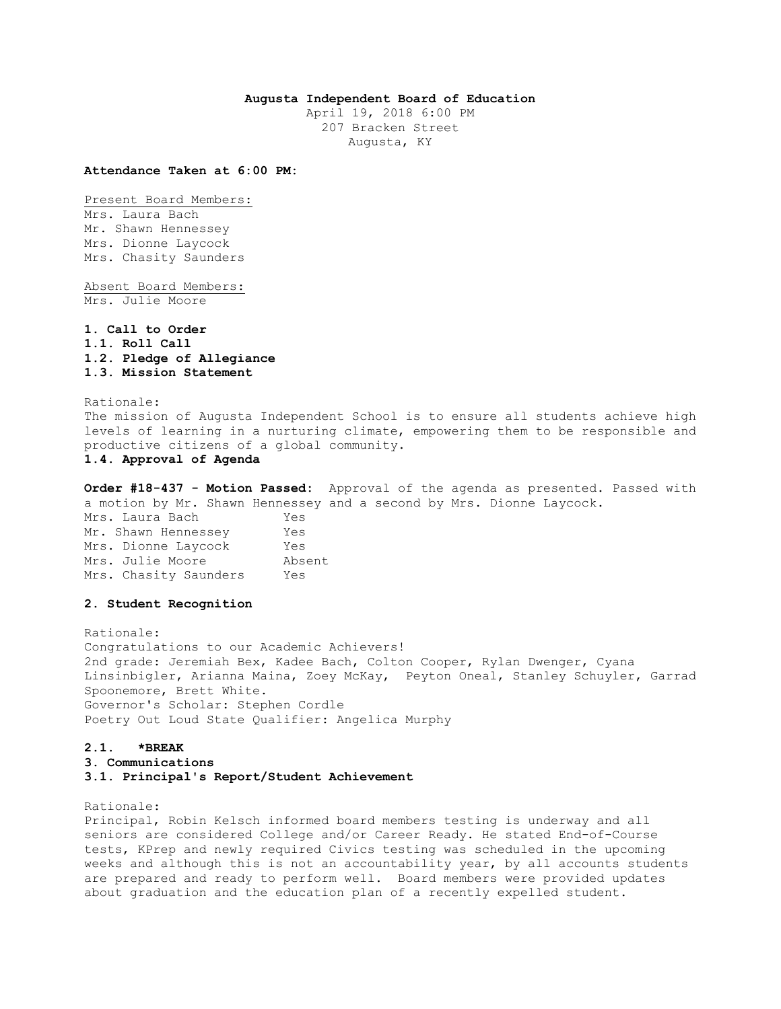# **Augusta Independent Board of Education**

April 19, 2018 6:00 PM 207 Bracken Street Augusta, KY

**Attendance Taken at 6:00 PM:**

Present Board Members: Mrs. Laura Bach Mr. Shawn Hennessey Mrs. Dionne Laycock Mrs. Chasity Saunders

Absent Board Members: Mrs. Julie Moore

**1. Call to Order 1.1. Roll Call 1.2. Pledge of Allegiance 1.3. Mission Statement** 

Rationale: The mission of Augusta Independent School is to ensure all students achieve high levels of learning in a nurturing climate, empowering them to be responsible and productive citizens of a global community.

**1.4. Approval of Agenda** 

**Order #18-437 - Motion Passed:** Approval of the agenda as presented. Passed with a motion by Mr. Shawn Hennessey and a second by Mrs. Dionne Laycock.

Mrs. Laura Bach Yes Mr. Shawn Hennessey Yes Mrs. Dionne Laycock Yes Mrs. Julie Moore Absent Mrs. Chasity Saunders Yes

# **2. Student Recognition**

Rationale: Congratulations to our Academic Achievers! 2nd grade: Jeremiah Bex, Kadee Bach, Colton Cooper, Rylan Dwenger, Cyana Linsinbigler, Arianna Maina, Zoey McKay, Peyton Oneal, Stanley Schuyler, Garrad Spoonemore, Brett White. Governor's Scholar: Stephen Cordle Poetry Out Loud State Qualifier: Angelica Murphy

# **2.1. \*BREAK**

# **3. Communications**

**3.1. Principal's Report/Student Achievement** 

Rationale:

Principal, Robin Kelsch informed board members testing is underway and all seniors are considered College and/or Career Ready. He stated End-of-Course tests, KPrep and newly required Civics testing was scheduled in the upcoming weeks and although this is not an accountability year, by all accounts students are prepared and ready to perform well. Board members were provided updates about graduation and the education plan of a recently expelled student.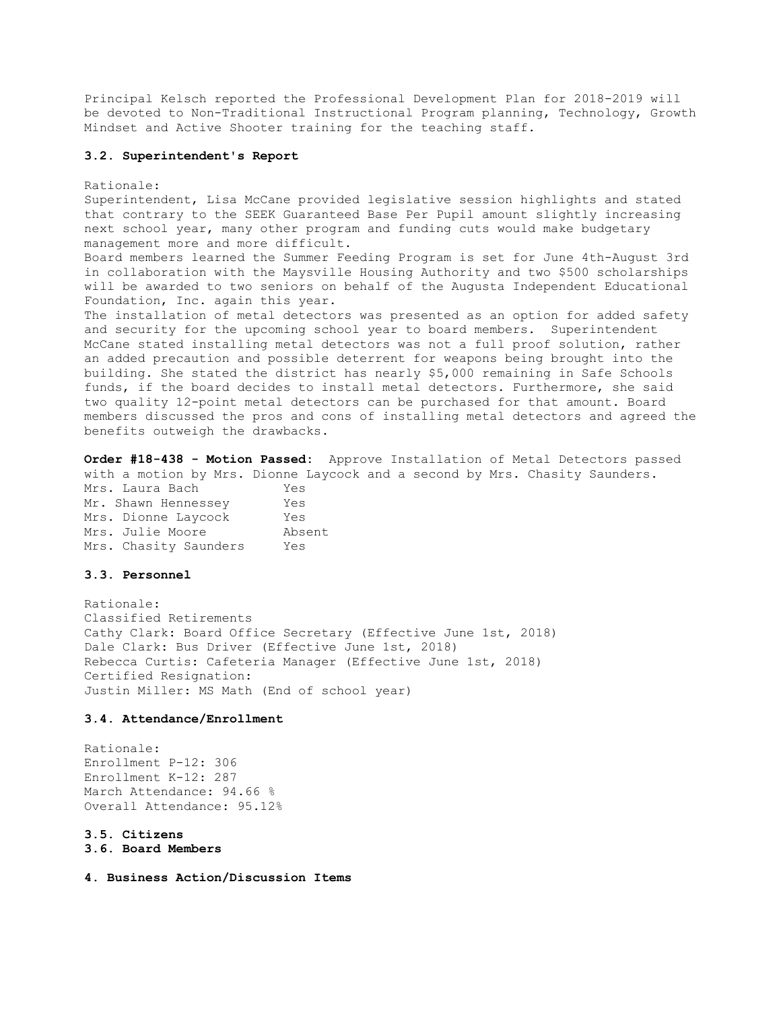Principal Kelsch reported the Professional Development Plan for 2018-2019 will be devoted to Non-Traditional Instructional Program planning, Technology, Growth Mindset and Active Shooter training for the teaching staff.

## **3.2. Superintendent's Report**

## Rationale:

Superintendent, Lisa McCane provided legislative session highlights and stated that contrary to the SEEK Guaranteed Base Per Pupil amount slightly increasing next school year, many other program and funding cuts would make budgetary management more and more difficult.

Board members learned the Summer Feeding Program is set for June 4th-August 3rd in collaboration with the Maysville Housing Authority and two \$500 scholarships will be awarded to two seniors on behalf of the Augusta Independent Educational Foundation, Inc. again this year.

The installation of metal detectors was presented as an option for added safety and security for the upcoming school year to board members. Superintendent McCane stated installing metal detectors was not a full proof solution, rather an added precaution and possible deterrent for weapons being brought into the building. She stated the district has nearly \$5,000 remaining in Safe Schools funds, if the board decides to install metal detectors. Furthermore, she said two quality 12-point metal detectors can be purchased for that amount. Board members discussed the pros and cons of installing metal detectors and agreed the benefits outweigh the drawbacks.

**Order #18-438 - Motion Passed:** Approve Installation of Metal Detectors passed with a motion by Mrs. Dionne Laycock and a second by Mrs. Chasity Saunders.

| Mrs. Laura Bach       | Yes    |
|-----------------------|--------|
| Mr. Shawn Hennessey   | Yes    |
| Mrs. Dionne Laycock   | Yes    |
| Mrs. Julie Moore      | Absent |
| Mrs. Chasity Saunders | Yes    |

# **3.3. Personnel**

Rationale: Classified Retirements Cathy Clark: Board Office Secretary (Effective June 1st, 2018) Dale Clark: Bus Driver (Effective June 1st, 2018) Rebecca Curtis: Cafeteria Manager (Effective June 1st, 2018) Certified Resignation: Justin Miller: MS Math (End of school year)

## **3.4. Attendance/Enrollment**

Rationale: Enrollment P-12: 306 Enrollment K-12: 287 March Attendance: 94.66 % Overall Attendance: 95.12%

**3.5. Citizens** 

```
3.6. Board Members
```
**4. Business Action/Discussion Items**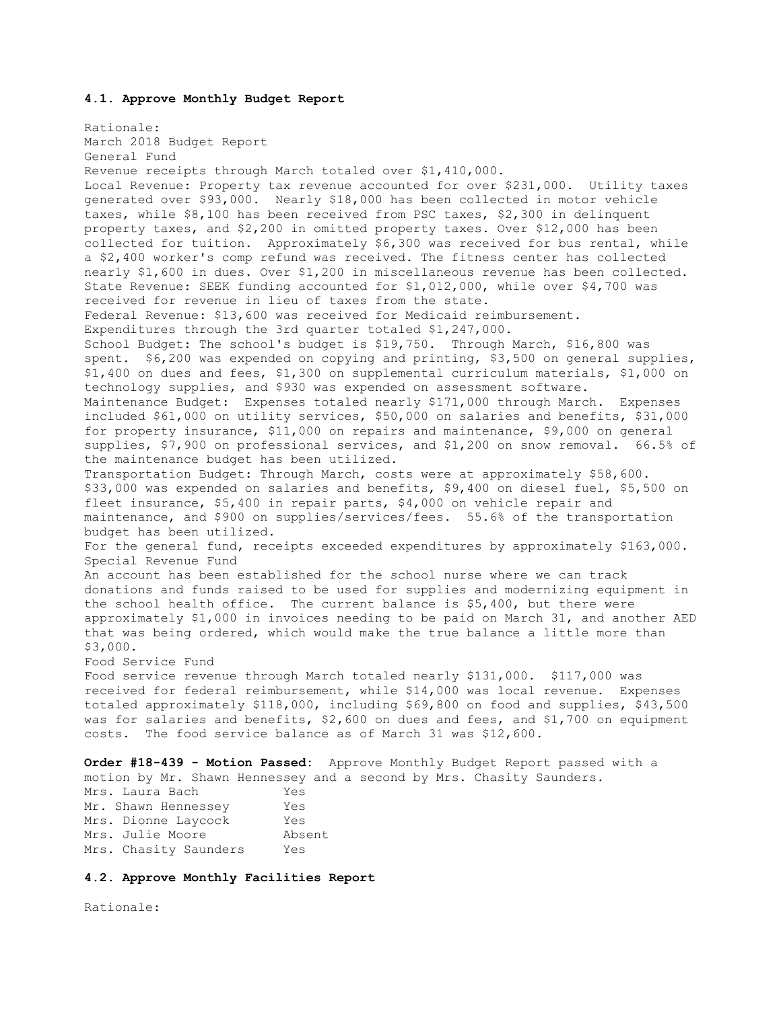# **4.1. Approve Monthly Budget Report**

Rationale: March 2018 Budget Report General Fund Revenue receipts through March totaled over \$1,410,000. Local Revenue: Property tax revenue accounted for over \$231,000. Utility taxes generated over \$93,000. Nearly \$18,000 has been collected in motor vehicle taxes, while \$8,100 has been received from PSC taxes, \$2,300 in delinquent property taxes, and \$2,200 in omitted property taxes. Over \$12,000 has been collected for tuition. Approximately \$6,300 was received for bus rental, while a \$2,400 worker's comp refund was received. The fitness center has collected nearly \$1,600 in dues. Over \$1,200 in miscellaneous revenue has been collected. State Revenue: SEEK funding accounted for \$1,012,000, while over \$4,700 was received for revenue in lieu of taxes from the state. Federal Revenue: \$13,600 was received for Medicaid reimbursement. Expenditures through the 3rd quarter totaled \$1,247,000. School Budget: The school's budget is \$19,750. Through March, \$16,800 was spent. \$6,200 was expended on copying and printing, \$3,500 on general supplies, \$1,400 on dues and fees, \$1,300 on supplemental curriculum materials, \$1,000 on technology supplies, and \$930 was expended on assessment software. Maintenance Budget: Expenses totaled nearly \$171,000 through March. Expenses included \$61,000 on utility services, \$50,000 on salaries and benefits, \$31,000 for property insurance, \$11,000 on repairs and maintenance, \$9,000 on general supplies, \$7,900 on professional services, and \$1,200 on snow removal. 66.5% of the maintenance budget has been utilized. Transportation Budget: Through March, costs were at approximately \$58,600. \$33,000 was expended on salaries and benefits, \$9,400 on diesel fuel, \$5,500 on fleet insurance, \$5,400 in repair parts, \$4,000 on vehicle repair and maintenance, and \$900 on supplies/services/fees. 55.6% of the transportation budget has been utilized. For the general fund, receipts exceeded expenditures by approximately \$163,000. Special Revenue Fund An account has been established for the school nurse where we can track donations and funds raised to be used for supplies and modernizing equipment in the school health office. The current balance is \$5,400, but there were approximately \$1,000 in invoices needing to be paid on March 31, and another AED that was being ordered, which would make the true balance a little more than \$3,000. Food Service Fund Food service revenue through March totaled nearly \$131,000. \$117,000 was received for federal reimbursement, while \$14,000 was local revenue. Expenses totaled approximately \$118,000, including \$69,800 on food and supplies, \$43,500 was for salaries and benefits, \$2,600 on dues and fees, and \$1,700 on equipment costs. The food service balance as of March 31 was \$12,600. **Order #18-439 - Motion Passed:** Approve Monthly Budget Report passed with a motion by Mr. Shawn Hennessey and a second by Mrs. Chasity Saunders. Mrs. Laura Bach Yes

|                       | .      |
|-----------------------|--------|
| Mr. Shawn Hennessey   | Yes    |
| Mrs. Dionne Laycock   | Yes    |
| Mrs. Julie Moore      | Absent |
| Mrs. Chasity Saunders | Yes    |

# **4.2. Approve Monthly Facilities Report**

Rationale: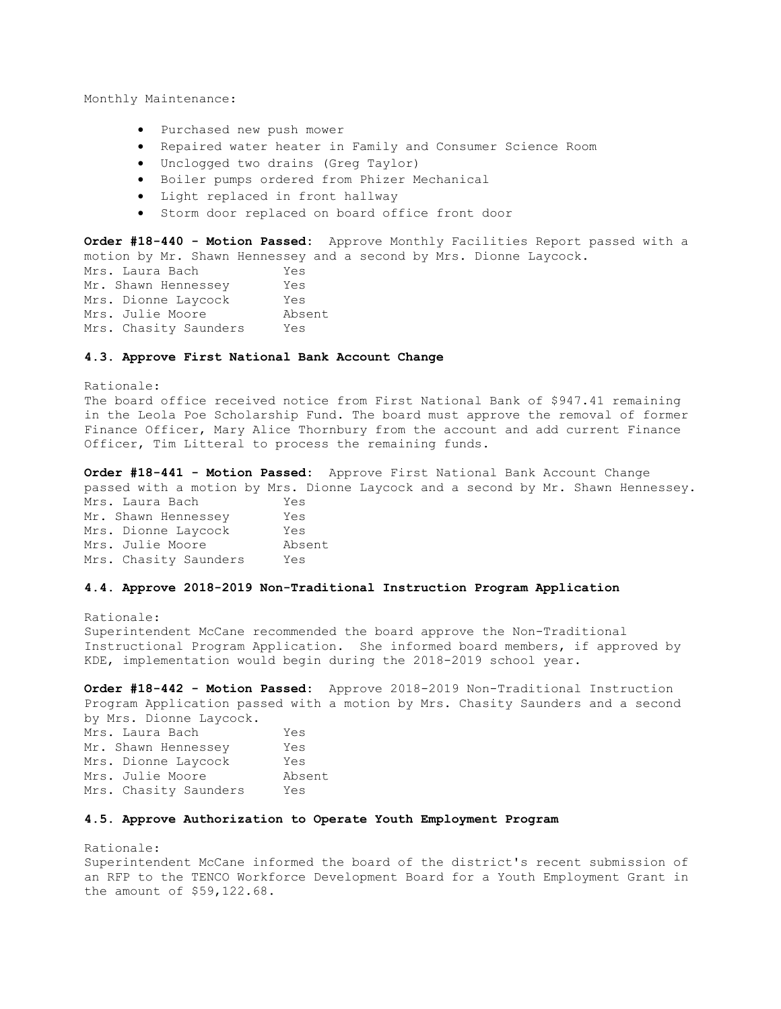Monthly Maintenance:

- Purchased new push mower
- Repaired water heater in Family and Consumer Science Room
- Unclogged two drains (Greg Taylor)
- Boiler pumps ordered from Phizer Mechanical
- Light replaced in front hallway
- Storm door replaced on board office front door

**Order #18-440 - Motion Passed:** Approve Monthly Facilities Report passed with a motion by Mr. Shawn Hennessey and a second by Mrs. Dionne Laycock.

Mrs. Laura Bach Yes Mr. Shawn Hennessey Yes Mrs. Dionne Laycock Yes Mrs. Julie Moore Absent Mrs. Chasity Saunders Yes

# **4.3. Approve First National Bank Account Change**

Rationale: The board office received notice from First National Bank of \$947.41 remaining in the Leola Poe Scholarship Fund. The board must approve the removal of former Finance Officer, Mary Alice Thornbury from the account and add current Finance Officer, Tim Litteral to process the remaining funds.

**Order #18-441 - Motion Passed:** Approve First National Bank Account Change passed with a motion by Mrs. Dionne Laycock and a second by Mr. Shawn Hennessey. Mrs. Laura Bach Yes Mr. Shawn Hennessey Yes Mrs. Dionne Laycock Yes Mrs. Julie Moore Absent

**4.4. Approve 2018-2019 Non-Traditional Instruction Program Application** 

Rationale: Superintendent McCane recommended the board approve the Non-Traditional Instructional Program Application. She informed board members, if approved by KDE, implementation would begin during the 2018-2019 school year.

**Order #18-442 - Motion Passed:** Approve 2018-2019 Non-Traditional Instruction Program Application passed with a motion by Mrs. Chasity Saunders and a second by Mrs. Dionne Laycock.

| Mrs. Laura Bach       | Yes    |
|-----------------------|--------|
| Mr. Shawn Hennessey   | Yes    |
| Mrs. Dionne Lavcock   | Yes    |
| Mrs. Julie Moore      | Absent |
| Mrs. Chasity Saunders | Yes    |
|                       |        |

Mrs. Chasity Saunders Yes

# **4.5. Approve Authorization to Operate Youth Employment Program**

Rationale: Superintendent McCane informed the board of the district's recent submission of an RFP to the TENCO Workforce Development Board for a Youth Employment Grant in the amount of \$59,122.68.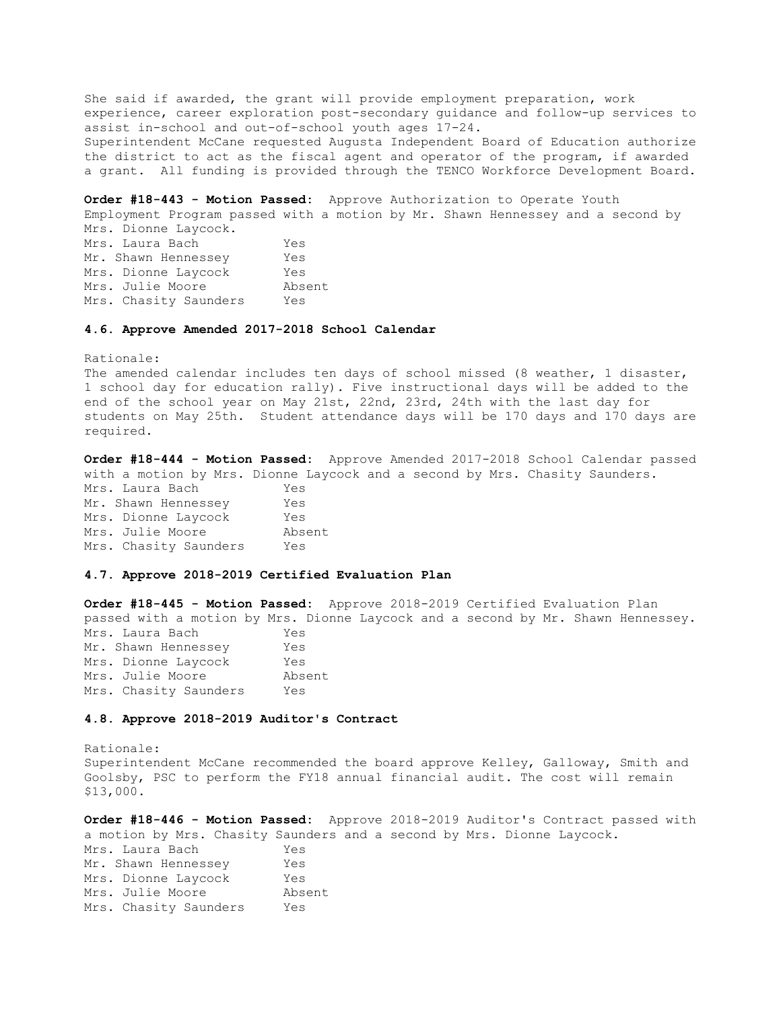She said if awarded, the grant will provide employment preparation, work experience, career exploration post-secondary guidance and follow-up services to assist in-school and out-of-school youth ages 17-24. Superintendent McCane requested Augusta Independent Board of Education authorize the district to act as the fiscal agent and operator of the program, if awarded a grant. All funding is provided through the TENCO Workforce Development Board.

**Order #18-443 - Motion Passed:** Approve Authorization to Operate Youth Employment Program passed with a motion by Mr. Shawn Hennessey and a second by Mrs. Dionne Laycock. Mrs. Laura Bach Yes Mr. Shawn Hennessey Yes Mrs. Dionne Laycock Yes Mrs. Julie Moore Absent Mrs. Chasity Saunders Yes

# **4.6. Approve Amended 2017-2018 School Calendar**

Rationale:

The amended calendar includes ten days of school missed (8 weather, 1 disaster, 1 school day for education rally). Five instructional days will be added to the end of the school year on May 21st, 22nd, 23rd, 24th with the last day for students on May 25th. Student attendance days will be 170 days and 170 days are required.

**Order #18-444 - Motion Passed:** Approve Amended 2017-2018 School Calendar passed with a motion by Mrs. Dionne Laycock and a second by Mrs. Chasity Saunders.

| Mrs. Laura Bach       | Yes    |
|-----------------------|--------|
| Mr. Shawn Hennessey   | Yes    |
| Mrs. Dionne Laycock   | Yes    |
| Mrs. Julie Moore      | Absent |
| Mrs. Chasity Saunders | Yes    |

## **4.7. Approve 2018-2019 Certified Evaluation Plan**

**Order #18-445 - Motion Passed:** Approve 2018-2019 Certified Evaluation Plan passed with a motion by Mrs. Dionne Laycock and a second by Mr. Shawn Hennessey. Mrs. Laura Bach Yes Mr. Shawn Hennessey Yes Mrs. Dionne Laycock Yes Mrs. Julie Moore Absent Mrs. Chasity Saunders Yes

## **4.8. Approve 2018-2019 Auditor's Contract**

Rationale: Superintendent McCane recommended the board approve Kelley, Galloway, Smith and Goolsby, PSC to perform the FY18 annual financial audit. The cost will remain \$13,000.

**Order #18-446 - Motion Passed:** Approve 2018-2019 Auditor's Contract passed with a motion by Mrs. Chasity Saunders and a second by Mrs. Dionne Laycock. Mrs. Laura Bach Yes Mr. Shawn Hennessey Yes Mrs. Dionne Laycock Yes Mrs. Julie Moore Absent Mrs. Chasity Saunders Yes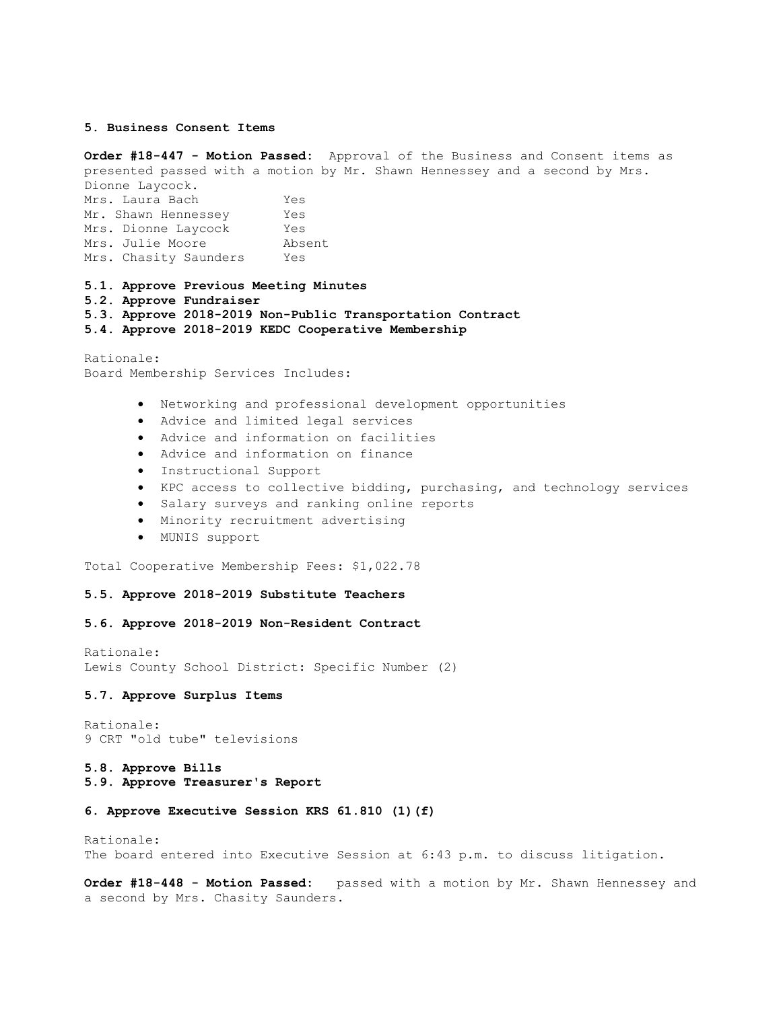## **5. Business Consent Items**

**Order #18-447 - Motion Passed:** Approval of the Business and Consent items as presented passed with a motion by Mr. Shawn Hennessey and a second by Mrs. Dionne Laycock. Mrs. Laura Bach Yes Mr. Shawn Hennessey Yes Mrs. Dionne Laycock Yes Mrs. Julie Moore Absent Mrs. Chasity Saunders Yes

## **5.1. Approve Previous Meeting Minutes**

**5.2. Approve Fundraiser** 

**5.3. Approve 2018-2019 Non-Public Transportation Contract** 

**5.4. Approve 2018-2019 KEDC Cooperative Membership** 

Rationale: Board Membership Services Includes:

- Networking and professional development opportunities
- Advice and limited legal services
- Advice and information on facilities
- Advice and information on finance
- Instructional Support
- KPC access to collective bidding, purchasing, and technology services
- Salary surveys and ranking online reports
- Minority recruitment advertising
- MUNIS support

Total Cooperative Membership Fees: \$1,022.78

## **5.5. Approve 2018-2019 Substitute Teachers**

# **5.6. Approve 2018-2019 Non-Resident Contract**

Rationale: Lewis County School District: Specific Number (2)

#### **5.7. Approve Surplus Items**

Rationale: 9 CRT "old tube" televisions

#### **5.8. Approve Bills**

**5.9. Approve Treasurer's Report** 

# **6. Approve Executive Session KRS 61.810 (1)(f)**

Rationale: The board entered into Executive Session at 6:43 p.m. to discuss litigation.

**Order #18-448 - Motion Passed:** passed with a motion by Mr. Shawn Hennessey and a second by Mrs. Chasity Saunders.